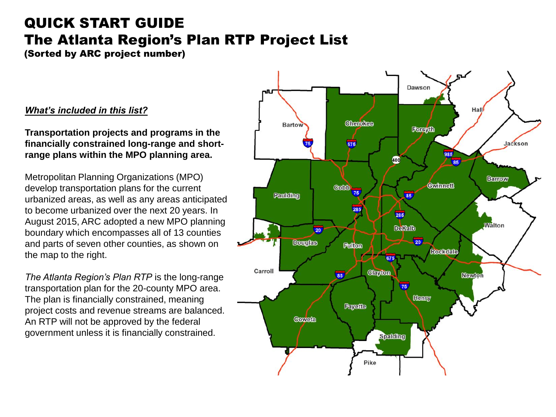# QUICK START GUIDE The Atlanta Region's Plan RTP Project List

(Sorted by ARC project number)

#### *What's included in this list?*

**Transportation projects and programs in the financially constrained long-range and shortrange plans within the MPO planning area.**

Metropolitan Planning Organizations (MPO) develop transportation plans for the current urbanized areas, as well as any areas anticipated to become urbanized over the next 20 years. In August 2015, ARC adopted a new MPO planning boundary which encompasses all of 13 counties and parts of seven other counties, as shown on the map to the right.

*The Atlanta Region's Plan RTP* is the long-range transportation plan for the 20-county MPO area. The plan is financially constrained, meaning project costs and revenue streams are balanced. An RTP will not be approved by the federal government unless it is financially constrained.

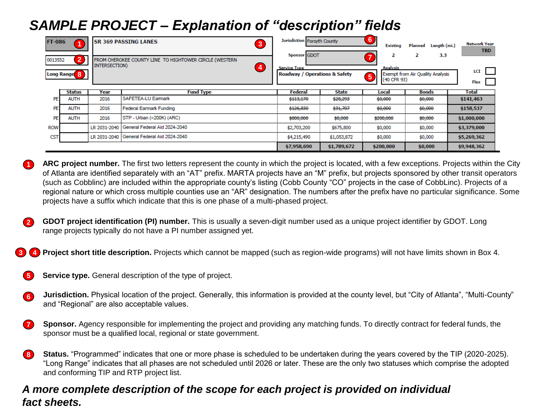## *SAMPLE PROJECT – Explanation of "description" fields*

| <b>FT-086</b><br>$\overline{2}$<br>0013552 |               | <b>SR 369 PASSING LANES</b><br>$\overline{\mathbf{3}}$<br>FROM CHEROKEE COUNTY LINE TO HIGHTOWER CIRCLE (WESTERN |                                            | Jurisdiction Forsyth County<br>Sponsor GDOT          |              | O<br><b>Existing</b><br>2                                 | Length (mi.)<br>Planned<br>3.3<br>2 | <b>Network Year</b><br><b>TBD</b> |
|--------------------------------------------|---------------|------------------------------------------------------------------------------------------------------------------|--------------------------------------------|------------------------------------------------------|--------------|-----------------------------------------------------------|-------------------------------------|-----------------------------------|
| <b>Long Range<sup>8</sup></b>              |               | INTERSECTION)                                                                                                    | 4                                          | <b>Service Type</b><br>Roadway / Operations & Safety |              | <b>Analysis</b><br>$\overline{\mathbf{5}}$<br>(40 CFR 93) | Exempt from Air Quality Analysis    | LCI<br>Flex                       |
|                                            | <b>Status</b> | Year                                                                                                             | <b>Fund Type</b>                           | Federal                                              | <b>State</b> | Local                                                     | <b>Bonds</b>                        | Total                             |
| <b>PE</b>                                  | <b>AUTH</b>   | 2016                                                                                                             | <b>SAFETEA-LU Earmark</b>                  | \$113,170                                            | \$28,293     | \$0,000                                                   | \$0,000                             | \$141,463                         |
| PE                                         | <b>AUTH</b>   | 2016                                                                                                             | <b>Federal Earmark Funding</b>             | \$126,830                                            | \$31,707     | \$0,000                                                   | \$0,000                             | \$158,537                         |
| PE                                         | <b>AUTH</b>   | 2016                                                                                                             | STP - Urban (>200K) (ARC)                  | \$800,000                                            | \$0,000      | \$200,000                                                 | \$0,000                             | \$1,000,000                       |
| <b>ROW</b>                                 |               | LR 2031-2040                                                                                                     | General Federal Aid 2024-2040              | \$2,703,200                                          | \$675,800    | \$0,000                                                   | \$0,000                             | \$3,379,000                       |
| <b>CST</b>                                 |               |                                                                                                                  | LR 2031-2040 General Federal Aid 2024-2040 | \$4,215,490                                          | \$1,053,872  | \$0,000                                                   | \$0,000                             | \$5,269,362                       |
|                                            |               |                                                                                                                  |                                            | \$7,958,690                                          | \$1,789,672  | \$200,000                                                 | \$0,000                             | \$9,948,362                       |

**ARC project number.** The first two letters represent the county in which the project is located, with a few exceptions. Projects within the City of Atlanta are identified separately with an "AT" prefix. MARTA projects have an "M" prefix, but projects sponsored by other transit operators (such as Cobblinc) are included within the appropriate county's listing (Cobb County "CO" projects in the case of CobbLinc). Projects of a regional nature or which cross multiple counties use an "AR" designation. The numbers after the prefix have no particular significance. Some projects have a suffix which indicate that this is one phase of a multi-phased project.

**GDOT project identification (PI) number.** This is usually a seven-digit number used as a unique project identifier by GDOT. Long range projects typically do not have a PI number assigned yet. **2**

**Project short title description.** Projects which cannot be mapped (such as region-wide programs) will not have limits shown in Box 4. **3 4**

**Service type.** General description of the type of project. **5**

**1**

- **Jurisdiction.** Physical location of the project. Generally, this information is provided at the county level, but "City of Atlanta", "Multi-County" and "Regional" are also acceptable values. **6**
- **Sponsor.** Agency responsible for implementing the project and providing any matching funds. To directly contract for federal funds, the sponsor must be a qualified local, regional or state government. **7**
- **Status.** "Programmed" indicates that one or more phase is scheduled to be undertaken during the years covered by the TIP (2020-2025). "Long Range" indicates that all phases are not scheduled until 2026 or later. These are the only two statuses which comprise the adopted and conforming TIP and RTP project list. **8**

#### *A more complete description of the scope for each project is provided on individual fact sheets.*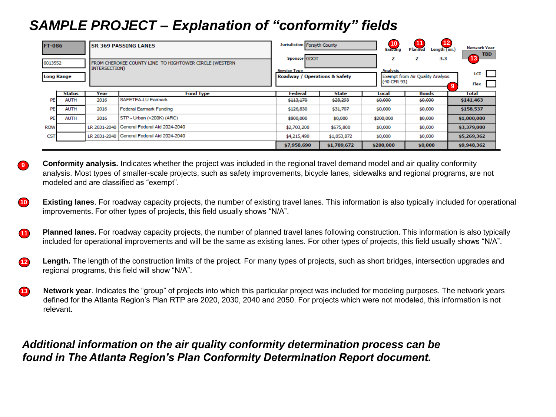## *SAMPLE PROJECT – Explanation of "conformity" fields*

**9**

| <b>FT-086</b>                |               | <b>SR 369 PASSING LANES</b>                                             |                                              | Jurisdiction Forsyth County                                          |              | 10<br><b>Existing</b>               | 12<br>11<br>Length (mi.)<br><b>Planned</b>   | <b>Network Year</b>             |
|------------------------------|---------------|-------------------------------------------------------------------------|----------------------------------------------|----------------------------------------------------------------------|--------------|-------------------------------------|----------------------------------------------|---------------------------------|
| 0013552<br><b>Long Range</b> |               | FROM CHEROKEE COUNTY LINE TO HIGHTOWER CIRCLE (WESTERN<br>INTERSECTION) |                                              | Sponsor GDOT<br><b>Service Type</b><br>Roadway / Operations & Safety |              | 2<br><b>Analysis</b><br>(40 CFR 93) | 3.3<br>2<br>Exempt from Air Quality Analysis | <b>TBD</b><br>13<br>LCI<br>Flex |
|                              | <b>Status</b> | Year                                                                    | <b>Fund Type</b>                             | Federal                                                              | <b>State</b> | Local                               | <b>Bonds</b>                                 | Total                           |
| <b>PE</b>                    | <b>AUTH</b>   | 2016                                                                    | <b>SAFETEA-LU Earmark</b>                    | \$113,170                                                            | \$28,293     | \$0,000                             | \$0,000                                      | \$141,463                       |
| <b>PE</b>                    | <b>AUTH</b>   | 2016                                                                    | Federal Earmark Funding                      | \$126,830                                                            | \$31,707     | \$0,000                             | \$0,000                                      | \$158,537                       |
| <b>PE</b>                    | <b>AUTH</b>   | 2016                                                                    | STP - Urban (>200K) (ARC)                    | \$800,000                                                            | \$0,000      | \$200,000                           | \$0,000                                      | \$1,000,000                     |
| <b>ROW</b>                   |               | LR 2031-2040                                                            | General Federal Aid 2024-2040                | \$2,703,200                                                          | \$675,800    | \$0,000                             | \$0,000                                      | \$3,379,000                     |
| CST                          |               |                                                                         | LR 2031-2040   General Federal Aid 2024-2040 | \$4,215,490                                                          | \$1,053,872  | \$0,000                             | \$0,000                                      | \$5,269,362                     |
|                              |               |                                                                         |                                              | \$7,958,690                                                          | \$1,789,672  | \$200,000                           | \$0,000                                      | \$9,948,362                     |

**Conformity analysis.** Indicates whether the project was included in the regional travel demand model and air quality conformity analysis. Most types of smaller-scale projects, such as safety improvements, bicycle lanes, sidewalks and regional programs, are not modeled and are classified as "exempt".

**Existing lanes**. For roadway capacity projects, the number of existing travel lanes. This information is also typically included for operational improvements. For other types of projects, this field usually shows "N/A". **10**

**Planned lanes.** For roadway capacity projects, the number of planned travel lanes following construction. This information is also typically included for operational improvements and will be the same as existing lanes. For other types of projects, this field usually shows "N/A". **11**

**Length.** The length of the construction limits of the project. For many types of projects, such as short bridges, intersection upgrades and regional programs, this field will show "N/A". **12**

**Network year**. Indicates the "group" of projects into which this particular project was included for modeling purposes. The network years defined for the Atlanta Region's Plan RTP are 2020, 2030, 2040 and 2050. For projects which were not modeled, this information is not relevant. **13**

### *Additional information on the air quality conformity determination process can be found in The Atlanta Region's Plan Conformity Determination Report document.*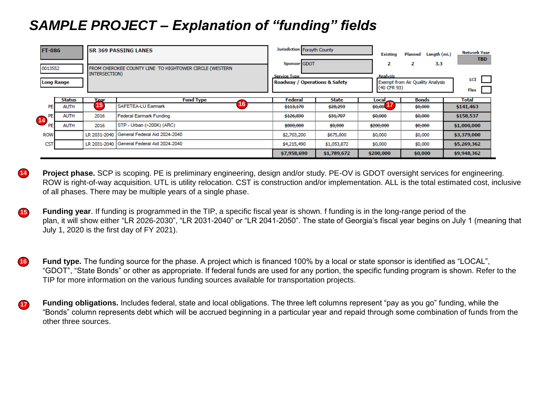## *SAMPLE PROJECT – Explanation of "funding" fields*

| <b>FT-086</b><br>0013552<br><b>Long Range</b> |               | <b>SR 369 PASSING LANES</b><br>FROM CHEROKEE COUNTY LINE TO HIGHTOWER CIRCLE (WESTERN<br>INTERSECTION) |                                            | Jurisdiction Forsyth County<br>Sponsor GDOT<br><b>Service Type</b><br>Roadway / Operations & Safety |             | <b>Existing</b><br>2<br><b>Analysis</b><br>(40 CFR 93) | Length (mi.)<br>Planned<br>3.3<br>2<br>Exempt from Air Quality Analysis | <b>Network Year</b><br><b>TBD</b><br>LCI |
|-----------------------------------------------|---------------|--------------------------------------------------------------------------------------------------------|--------------------------------------------|-----------------------------------------------------------------------------------------------------|-------------|--------------------------------------------------------|-------------------------------------------------------------------------|------------------------------------------|
|                                               | <b>Status</b> | Year                                                                                                   | <b>Fund Type</b>                           | Federal                                                                                             | State       | Local                                                  | <b>Bonds</b>                                                            | Flex<br>Total                            |
| PE                                            | <b>AUTH</b>   | 15                                                                                                     | <b>SAFETEA-LU Earmark</b>                  | \$113,170                                                                                           | \$28,293    | \$0,00                                                 | \$0,000                                                                 | \$141,463                                |
| 14 <sup>PE</sup><br>PE                        | <b>AUTH</b>   | 2016                                                                                                   | <b>Federal Earmark Funding</b>             | \$126,830                                                                                           | \$31,707    | \$0,000                                                | \$0,000                                                                 | \$158,537                                |
|                                               | <b>AUTH</b>   | 2016                                                                                                   | STP - Urban (>200K) (ARC)                  | \$800,000                                                                                           | \$0,000     | \$200,000                                              | \$0,000                                                                 | \$1,000,000                              |
| <b>ROW</b>                                    |               |                                                                                                        | LR 2031-2040 General Federal Aid 2024-2040 | \$2,703,200                                                                                         | \$675,800   | \$0,000                                                | \$0,000                                                                 | \$3,379,000                              |
| <b>CST</b>                                    |               |                                                                                                        | LR 2031-2040 General Federal Aid 2024-2040 | \$4,215,490                                                                                         | \$1,053,872 | \$0,000                                                | \$0,000                                                                 | \$5,269,362                              |
|                                               |               |                                                                                                        |                                            | \$7,958,690                                                                                         | \$1,789,672 | \$200,000                                              | \$0,000                                                                 | \$9,948,362                              |

**Project phase.** SCP is scoping. PE is preliminary engineering, design and/or study. PE-OV is GDOT oversight services for engineering. ROW is right-of-way acquisition. UTL is utility relocation. CST is construction and/or implementation. ALL is the total estimated cost, inclusive of all phases. There may be multiple years of a single phase. **14**

- **Funding year**. If funding is programmed in the TIP, a specific fiscal year is shown. f funding is in the long-range period of the plan, it will show either "LR 2026-2030", "LR 2031-2040" or "LR 2041-2050". The state of Georgia's fiscal year begins on July 1 (meaning that July 1, 2020 is the first day of FY 2021). **15**
- **Fund type.** The funding source for the phase. A project which is financed 100% by a local or state sponsor is identified as "LOCAL", "GDOT", "State Bonds" or other as appropriate. If federal funds are used for any portion, the specific funding program is shown. Refer to the TIP for more information on the various funding sources available for transportation projects. **16**
- **Funding obligations.** Includes federal, state and local obligations. The three left columns represent "pay as you go" funding, while the "Bonds" column represents debt which will be accrued beginning in a particular year and repaid through some combination of funds from the other three sources. **17**